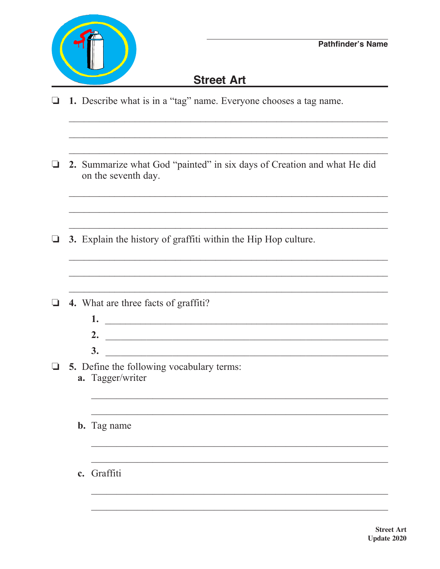

## Street Art and the state of the state of the state of the state of the state of the state of the state of the state of the state of the state of the state of the state of the state of the state of the state of the state of

- 1. Describe what is in a "tag" name. Everyone chooses a tag name. Q.
- **1** 2. Summarize what God "painted" in six days of Creation and what He did on the seventh day.
- $\Box$  3. Explain the history of graffiti within the Hip Hop culture.
- $\Box$  4. What are three facts of graffiti?
	- $1.$   $\overline{\phantom{a}}$  $\overline{\mathbf{3.}}$

and the control of the control of the control of the control of the control of the control of the control of the

<u> 1989 - Johann Harry Harry Harry Harry Harry Harry Harry Harry Harry Harry Harry Harry Harry Harry Harry Harry</u>

- $\Box$  5. Define the following vocabulary terms: a. Tagger/writer
	- **b.** Tag name
	- c. Graffiti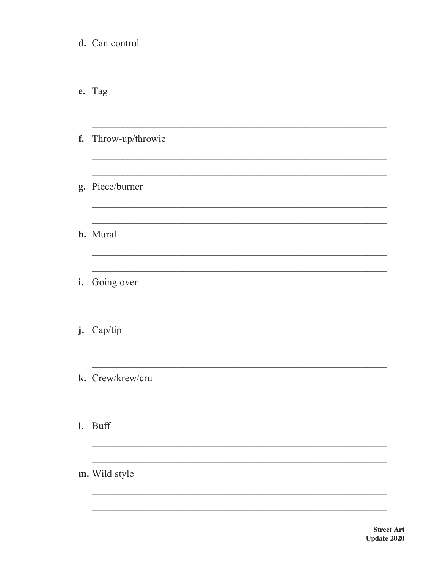|                | d. Can control      |
|----------------|---------------------|
|                | e. Tag              |
|                | f. Throw-up/throwie |
|                | g. Piece/burner     |
|                | h. Mural            |
| i.             | Going over          |
|                | j. Cap/tip          |
|                | k. Crew/krew/cru    |
| $\mathbf{l}$ . | <b>Buff</b>         |
|                | m. Wild style       |
|                |                     |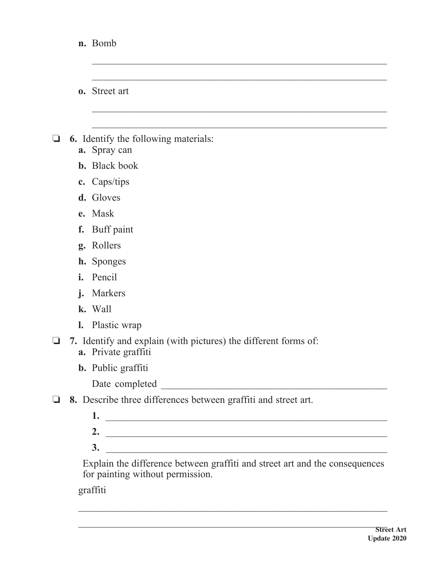|   |                | n. Bomb                                                                                                                      |
|---|----------------|------------------------------------------------------------------------------------------------------------------------------|
|   |                |                                                                                                                              |
|   |                | <b>0.</b> Street art                                                                                                         |
|   |                |                                                                                                                              |
| ⊔ | a.             | <b>6.</b> Identify the following materials:<br>Spray can                                                                     |
|   |                | <b>b.</b> Black book                                                                                                         |
|   |                | c. Caps/tips                                                                                                                 |
|   |                | d. Gloves                                                                                                                    |
|   | e.             | Mask                                                                                                                         |
|   | f.             | Buff paint                                                                                                                   |
|   | g.             | Rollers                                                                                                                      |
|   |                | <b>h.</b> Sponges                                                                                                            |
|   | i.             | Pencil                                                                                                                       |
|   | j.             | Markers                                                                                                                      |
|   |                | k. Wall                                                                                                                      |
|   | $\mathbf{l}$ . | Plastic wrap                                                                                                                 |
|   |                | 7. Identify and explain (with pictures) the different forms of:<br>a. Private graffiti                                       |
|   |                | <b>b.</b> Public graffiti                                                                                                    |
|   |                |                                                                                                                              |
|   |                | 8. Describe three differences between graffiti and street art.                                                               |
|   |                | 1.                                                                                                                           |
|   |                | 2.<br><u> 1989 - Johann Barn, mars ann an t-Amhainn an t-Amhainn an t-Amhainn an t-Amhainn an t-Amhainn an t-Amhainn an </u> |
|   |                | 3.<br><u> 1989 - Johann John Stone, markin fizikar (</u>                                                                     |

 Explain the difference between graffiti and street art and the consequences for painting without permission.

graffiti